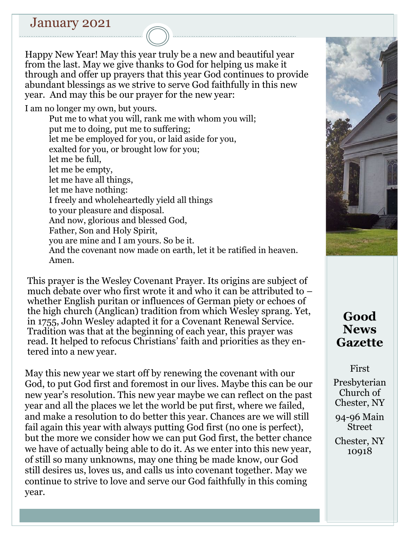## January 2021

Happy New Year! May this year truly be a new and beautiful year from the last. May we give thanks to God for helping us make it through and offer up prayers that this year God continues to provide abundant blessings as we strive to serve God faithfully in this new year. And may this be our prayer for the new year:

I am no longer my own, but yours.

Put me to what you will, rank me with whom you will; put me to doing, put me to suffering; let me be employed for you, or laid aside for you, exalted for you, or brought low for you; let me be full, let me be empty, let me have all things, let me have nothing: I freely and wholeheartedly yield all things to your pleasure and disposal. And now, glorious and blessed God, Father, Son and Holy Spirit, you are mine and I am yours. So be it. And the covenant now made on earth, let it be ratified in heaven. Amen.

This prayer is the Wesley Covenant Prayer. Its origins are subject of much debate over who first wrote it and who it can be attributed to – whether English puritan or influences of German piety or echoes of the high church (Anglican) tradition from which Wesley sprang. Yet, in 1755, John Wesley adapted it for a Covenant Renewal Service. Tradition was that at the beginning of each year, this prayer was read. It helped to refocus Christians' faith and priorities as they entered into a new year.

May this new year we start off by renewing the covenant with our God, to put God first and foremost in our lives. Maybe this can be our new year's resolution. This new year maybe we can reflect on the past year and all the places we let the world be put first, where we failed, and make a resolution to do better this year. Chances are we will still fail again this year with always putting God first (no one is perfect), but the more we consider how we can put God first, the better chance we have of actually being able to do it. As we enter into this new year, of still so many unknowns, may one thing be made know, our God still desires us, loves us, and calls us into covenant together. May we continue to strive to love and serve our God faithfully in this coming year.



# **Good News Gazette**

First

Presbyterian Church of Chester, NY

94-96 Main Street

Chester, NY 10918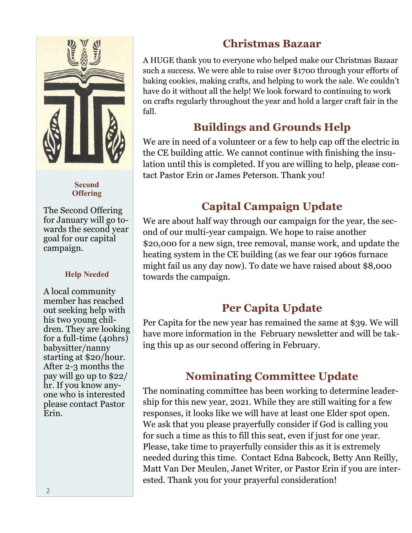

#### **Second Offering**

The Second Offering for January will go towards the second year goal for our capital campaign.

#### **Help Needed**

A local community member has reached out seeking help with his two young children. They are looking for a full-time (40hrs) babysitter/nanny starting at \$20/hour. After 2-3 months the pay will go up to \$22/ hr. If you know anyone who is interested please contact Pastor Erin.

## **Christmas Bazaar**

A HUGE thank you to everyone who helped make our Christmas Bazaar such a success. We were able to raise over \$1700 through your efforts of baking cookies, making crafts, and helping to work the sale. We couldn't have do it without all the help! We look forward to continuing to work on crafts regularly throughout the year and hold a larger craft fair in the fall.

# **Buildings and Grounds Help**

We are in need of a volunteer or a few to help cap off the electric in the CE building attic. We cannot continue with finishing the insulation until this is completed. If you are willing to help, please contact Pastor Erin or James Peterson. Thank you!

# **Capital Campaign Update**

We are about half way through our campaign for the year, the second of our multi-year campaign. We hope to raise another \$20,000 for a new sign, tree removal, manse work, and update the heating system in the CE building (as we fear our 1960s furnace might fail us any day now). To date we have raised about \$8,000 towards the campaign.

## **Per Capita Update**

Per Capita for the new year has remained the same at \$39. We will have more information in the February newsletter and will be taking this up as our second offering in February.

# **Nominating Committee Update**

The nominating committee has been working to determine leadership for this new year, 2021. While they are still waiting for a few responses, it looks like we will have at least one Elder spot open. We ask that you please prayerfully consider if God is calling you for such a time as this to fill this seat, even if just for one year. Please, take time to prayerfully consider this as it is extremely needed during this time. Contact Edna Babcock, Betty Ann Reilly, Matt Van Der Meulen, Janet Writer, or Pastor Erin if you are interested. Thank you for your prayerful consideration!